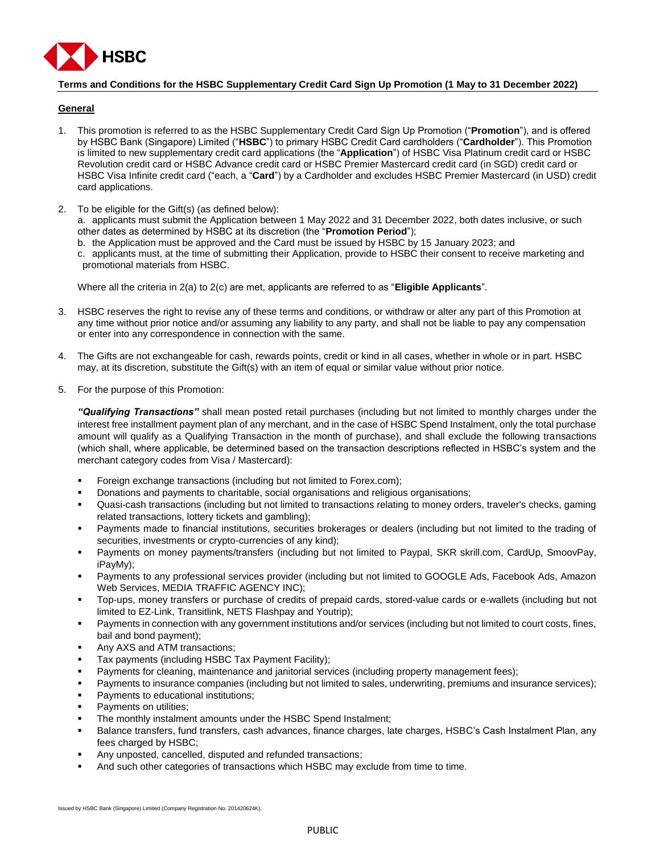

## **Terms and Conditions for the HSBC Supplementary Credit Card Sign Up Promotion (1 May to 31 December 2022)**

## **General**

- 1. This promotion is referred to as the HSBC Supplementary Credit Card Sign Up Promotion ("**Promotion**"), and is offered by HSBC Bank (Singapore) Limited ("**HSBC**") to primary HSBC Credit Card cardholders ("**Cardholder**"). This Promotion is limited to new supplementary credit card applications (the "**Application**") of HSBC Visa Platinum credit card or HSBC Revolution credit card or HSBC Advance credit card or HSBC Premier Mastercard credit card (in SGD) credit card or HSBC Visa Infinite credit card ("each, a "**Card**") by a Cardholder and excludes HSBC Premier Mastercard (in USD) credit card applications.
- 2. To be eligible for the Gift(s) (as defined below):

a. applicants must submit the Application between 1 May 2022 and 31 December 2022, both dates inclusive, or such other dates as determined by HSBC at its discretion (the "**Promotion Period**");

- b. the Application must be approved and the Card must be issued by HSBC by 15 January 2023; and
- c. applicants must, at the time of submitting their Application, provide to HSBC their consent to receive marketing and promotional materials from HSBC.

Where all the criteria in 2(a) to 2(c) are met, applicants are referred to as "**Eligible Applicants**".

- 3. HSBC reserves the right to revise any of these terms and conditions, or withdraw or alter any part of this Promotion at any time without prior notice and/or assuming any liability to any party, and shall not be liable to pay any compensation or enter into any correspondence in connection with the same.
- 4. The Gifts are not exchangeable for cash, rewards points, credit or kind in all cases, whether in whole or in part. HSBC may, at its discretion, substitute the Gift(s) with an item of equal or similar value without prior notice.
- 5. For the purpose of this Promotion:

*"Qualifying Transactions"* shall mean posted retail purchases (including but not limited to monthly charges under the interest free installment payment plan of any merchant, and in the case of HSBC Spend Instalment, only the total purchase amount will qualify as a Qualifying Transaction in the month of purchase), and shall exclude the following transactions (which shall, where applicable, be determined based on the transaction descriptions reflected in HSBC's system and the merchant category codes from Visa / Mastercard):

- Foreign exchange transactions (including but not limited to Forex.com);
- Donations and payments to charitable, social organisations and religious organisations;
- Quasi-cash transactions (including but not limited to transactions relating to money orders, traveler's checks, gaming related transactions, lottery tickets and gambling);
- Payments made to financial institutions, securities brokerages or dealers (including but not limited to the trading of securities, investments or crypto-currencies of any kind);
- Payments on money payments/transfers (including but not limited to Paypal, SKR skrill.com, CardUp, SmoovPay, iPayMy);
- Payments to any professional services provider (including but not limited to GOOGLE Ads, Facebook Ads, Amazon Web Services, MEDIA TRAFFIC AGENCY INC);
- Top-ups, money transfers or purchase of credits of prepaid cards, stored-value cards or e-wallets (including but not limited to EZ-Link, Transitlink, NETS Flashpay and Youtrip);
- Payments in connection with any government institutions and/or services (including but not limited to court costs, fines, bail and bond payment);
- Any AXS and ATM transactions;
- Tax payments (including HSBC Tax Payment Facility);
- Payments for cleaning, maintenance and janitorial services (including property management fees);
- Payments to insurance companies (including but not limited to sales, underwriting, premiums and insurance services);
- Payments to educational institutions;
- Payments on utilities;
- The monthly instalment amounts under the HSBC Spend Instalment;
- Balance transfers, fund transfers, cash advances, finance charges, late charges, HSBC's Cash Instalment Plan, any fees charged by HSBC;
- Any unposted, cancelled, disputed and refunded transactions;
- And such other categories of transactions which HSBC may exclude from time to time.

Issued by HSBC Bank (Singapore) Limited (Company Registration No. 201420624K).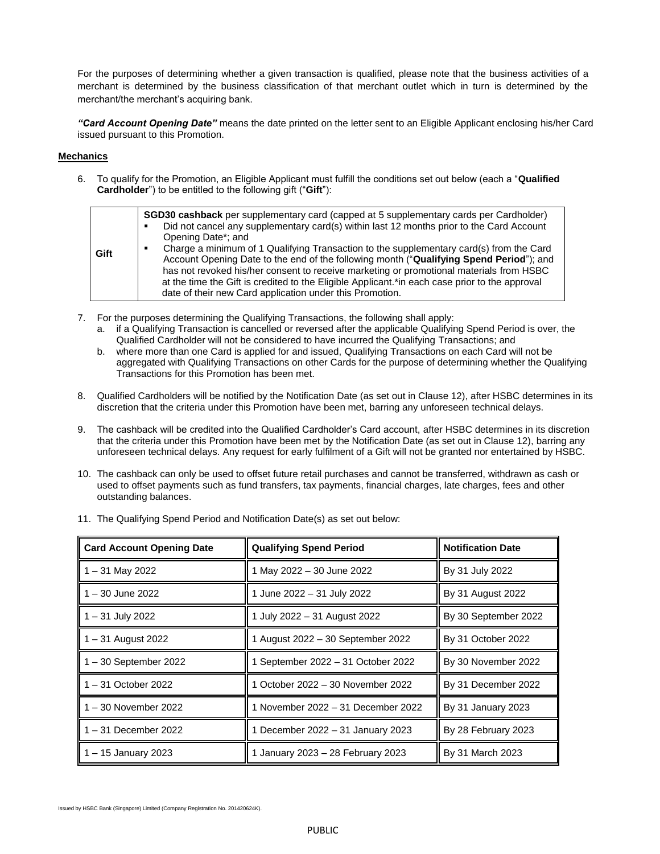For the purposes of determining whether a given transaction is qualified, please note that the business activities of a merchant is determined by the business classification of that merchant outlet which in turn is determined by the merchant/the merchant's acquiring bank.

*"Card Account Opening Date"* means the date printed on the letter sent to an Eligible Applicant enclosing his/her Card issued pursuant to this Promotion.

## **Mechanics**

6. To qualify for the Promotion, an Eligible Applicant must fulfill the conditions set out below (each a "**Qualified Cardholder**") to be entitled to the following gift ("**Gift**"):

| Gift | <b>SGD30 cashback</b> per supplementary card (capped at 5 supplementary cards per Cardholder)<br>Did not cancel any supplementary card(s) within last 12 months prior to the Card Account<br>Opening Date*; and<br>Charge a minimum of 1 Qualifying Transaction to the supplementary card(s) from the Card<br>Account Opening Date to the end of the following month ("Qualifying Spend Period"); and<br>has not revoked his/her consent to receive marketing or promotional materials from HSBC<br>at the time the Gift is credited to the Eligible Applicant.*in each case prior to the approval<br>date of their new Card application under this Promotion. |
|------|----------------------------------------------------------------------------------------------------------------------------------------------------------------------------------------------------------------------------------------------------------------------------------------------------------------------------------------------------------------------------------------------------------------------------------------------------------------------------------------------------------------------------------------------------------------------------------------------------------------------------------------------------------------|

- 7. For the purposes determining the Qualifying Transactions, the following shall apply:
	- a. if a Qualifying Transaction is cancelled or reversed after the applicable Qualifying Spend Period is over, the Qualified Cardholder will not be considered to have incurred the Qualifying Transactions; and
	- b. where more than one Card is applied for and issued, Qualifying Transactions on each Card will not be aggregated with Qualifying Transactions on other Cards for the purpose of determining whether the Qualifying Transactions for this Promotion has been met.
- 8. Qualified Cardholders will be notified by the Notification Date (as set out in Clause 12), after HSBC determines in its discretion that the criteria under this Promotion have been met, barring any unforeseen technical delays.
- 9. The cashback will be credited into the Qualified Cardholder's Card account, after HSBC determines in its discretion that the criteria under this Promotion have been met by the Notification Date (as set out in Clause 12), barring any unforeseen technical delays. Any request for early fulfilment of a Gift will not be granted nor entertained by HSBC.
- 10. The cashback can only be used to offset future retail purchases and cannot be transferred, withdrawn as cash or used to offset payments such as fund transfers, tax payments, financial charges, late charges, fees and other outstanding balances.

| <b>Card Account Opening Date</b> | <b>Qualifying Spend Period</b>     | <b>Notification Date</b> |  |
|----------------------------------|------------------------------------|--------------------------|--|
| 1 – 31 May 2022                  | 1 May 2022 - 30 June 2022          | By 31 July 2022          |  |
| $1 - 30$ June 2022               | 1 June 2022 - 31 July 2022         | By 31 August 2022        |  |
| 1 – 31 July 2022                 | 1 July 2022 - 31 August 2022       | By 30 September 2022     |  |
| 1 – 31 August 2022               | 1 August 2022 - 30 September 2022  | By 31 October 2022       |  |
| $1 - 30$ September 2022          | 1 September 2022 - 31 October 2022 | By 30 November 2022      |  |
| 1 – 31 October 2022              | 1 October 2022 – 30 November 2022  | By 31 December 2022      |  |
| 1 – 30 November 2022             | 1 November 2022 - 31 December 2022 | By 31 January 2023       |  |
| $1 - 31$ December 2022           | 1 December 2022 - 31 January 2023  | By 28 February 2023      |  |
| 1 – 15 January 2023              | 1 January 2023 - 28 February 2023  | By 31 March 2023         |  |

| 11. The Qualifying Spend Period and Notification Date(s) as set out below: |  |  |
|----------------------------------------------------------------------------|--|--|
|                                                                            |  |  |

ued by HSBC Bank (Singapore) Limited (Company Registration No. 201420624K).